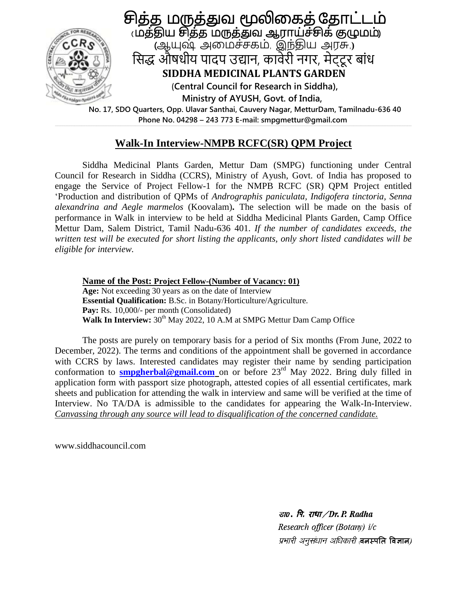

 **Phone No. 04298 – 243 773 E-mail: smpgmettur@gmail.com**

## **Walk-In Interview-NMPB RCFC(SR) QPM Project**

Siddha Medicinal Plants Garden, Mettur Dam (SMPG) functioning under Central Council for Research in Siddha (CCRS), Ministry of Ayush, Govt. of India has proposed to engage the Service of Project Fellow-1 for the NMPB RCFC (SR) QPM Project entitled 'Production and distribution of QPMs of *Andrographis paniculata, Indigofera tinctoria, Senna alexandrina and Aegle marmelos* (Koovalam)**.** The selection will be made on the basis of performance in Walk in interview to be held at Siddha Medicinal Plants Garden, Camp Office Mettur Dam, Salem District, Tamil Nadu-636 401. *If the number of candidates exceeds, the written test will be executed for short listing the applicants, only short listed candidates will be eligible for interview.*

**Name of the Post: Project Fellow-(Number of Vacancy: 01) Age:** Not exceeding 30 years as on the date of Interview **Essential Qualification:** B.Sc. in Botany/Horticulture/Agriculture. Pay: Rs. 10,000/- per month (Consolidated) **Walk In Interview:** 30<sup>th</sup> May 2022, 10 A.M at SMPG Mettur Dam Camp Office

The posts are purely on temporary basis for a period of Six months (From June, 2022 to December, 2022). The terms and conditions of the appointment shall be governed in accordance with CCRS by laws. Interested candidates may register their name by sending participation conformation to **[smpgherbal@gmail.com](mailto:smpgherbal@gmail.com)** on or before 23<sup>rd</sup> May 2022. Bring duly filled in application form with passport size photograph, attested copies of all essential certificates, mark sheets and publication for attending the walk in interview and same will be verified at the time of Interview. No TA/DA is admissible to the candidates for appearing the Walk-In-Interview. *Canvassing through any source will lead to disqualification of the concerned candidate.* 

www.siddhacouncil.com

डा $o$ . पि. राधा $/Dr$ . P. Radha Research officer (Botany) i/c प्रभारी अनुसंधान अधिकारी तनस्पति विज्ञान)